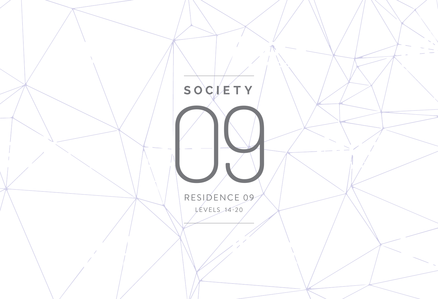